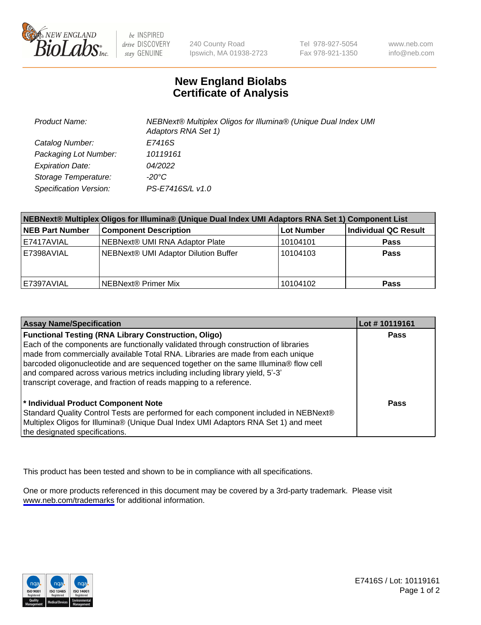

be INSPIRED drive DISCOVERY stay GENUINE

240 County Road Ipswich, MA 01938-2723 Tel 978-927-5054 Fax 978-921-1350

www.neb.com info@neb.com

## **New England Biolabs Certificate of Analysis**

| <b>Product Name:</b>    | NEBNext® Multiplex Oligos for Illumina® (Unique Dual Index UMI<br>Adaptors RNA Set 1) |
|-------------------------|---------------------------------------------------------------------------------------|
| Catalog Number:         | E7416S                                                                                |
| Packaging Lot Number:   | 10119161                                                                              |
| <b>Expiration Date:</b> | <i>04/2022</i>                                                                        |
| Storage Temperature:    | -20°C                                                                                 |
| Specification Version:  | PS-E7416S/L v1.0                                                                      |

| NEBNext® Multiplex Oligos for Illumina® (Unique Dual Index UMI Adaptors RNA Set 1) Component List |                                      |            |                      |  |
|---------------------------------------------------------------------------------------------------|--------------------------------------|------------|----------------------|--|
| <b>NEB Part Number</b>                                                                            | <b>Component Description</b>         | Lot Number | Individual QC Result |  |
| E7417AVIAL                                                                                        | NEBNext® UMI RNA Adaptor Plate       | 10104101   | <b>Pass</b>          |  |
| E7398AVIAL                                                                                        | NEBNext® UMI Adaptor Dilution Buffer | 10104103   | <b>Pass</b>          |  |
| E7397AVIAL                                                                                        | NEBNext® Primer Mix                  | 10104102   | <b>Pass</b>          |  |

| <b>Assay Name/Specification</b>                                                                                                                                        | Lot #10119161 |
|------------------------------------------------------------------------------------------------------------------------------------------------------------------------|---------------|
| <b>Functional Testing (RNA Library Construction, Oligo)</b>                                                                                                            | <b>Pass</b>   |
| Each of the components are functionally validated through construction of libraries<br>made from commercially available Total RNA. Libraries are made from each unique |               |
| barcoded oligonucleotide and are sequenced together on the same Illumina® flow cell                                                                                    |               |
| and compared across various metrics including including library yield, 5'-3'                                                                                           |               |
| transcript coverage, and fraction of reads mapping to a reference.                                                                                                     |               |
| * Individual Product Component Note<br>Standard Quality Control Tests are performed for each component included in NEBNext®                                            | Pass          |
| Multiplex Oligos for Illumina® (Unique Dual Index UMI Adaptors RNA Set 1) and meet                                                                                     |               |
| the designated specifications.                                                                                                                                         |               |

This product has been tested and shown to be in compliance with all specifications.

One or more products referenced in this document may be covered by a 3rd-party trademark. Please visit <www.neb.com/trademarks>for additional information.